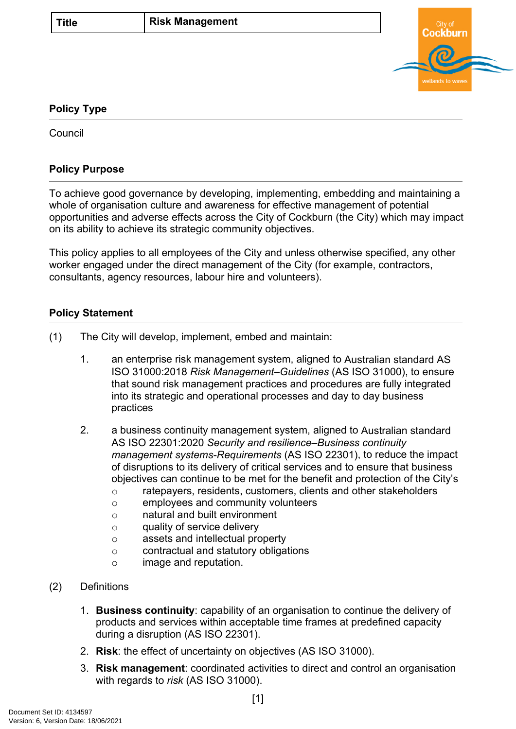

## **Policy Type**

**Council** 

## **Policy Purpose**

To achieve good governance by developing, implementing, embedding and maintaining a whole of organisation culture and awareness for effective management of potential opportunities and adverse effects across the City of Cockburn (the City) which may impact on its ability to achieve its strategic community objectives.

This policy applies to all employees of the City and unless otherwise specified, any other worker engaged under the direct management of the City (for example, contractors, consultants, agency resources, labour hire and volunteers).

## <span id="page-0-0"></span>**Policy Statement**

- (1) The City will develop, implement, embed and maintain:
	- 1. an enterprise risk management system, aligned to Australian standard AS ISO 31000:2018 *Risk Management–Guidelines* (AS ISO 31000), to ensure that sound risk management practices and procedures are fully integrated into its strategic and operational processes and day to day business practices
	- 2. a business continuity management system, aligned to Australian standard AS ISO 22301:2020 *Security and resilience–Business continuity management systems-Requirements* (AS ISO 22301), to reduce the impact of disruptions to its delivery of critical services and to ensure that business objectives can continue to be met for the benefit and protection of the City's
		- o ratepayers, residents, customers, clients and other stakeholders
		- o employees and community volunteers
		- o natural and built environment
		- o quality of service delivery
		- o assets and intellectual property
		- o contractual and statutory obligations
		- o image and reputation.
- (2) Definitions
	- 1. **Business continuity**: capability of an organisation to continue the delivery of products and services within acceptable time frames at predefined capacity during a disruption (AS ISO 22301).
	- 2. **Risk**: the effect of uncertainty on objectives (AS ISO 31000).
	- 3. **Risk management**: coordinated activities to direct and control an organisation with regards to *risk* (AS ISO 31000).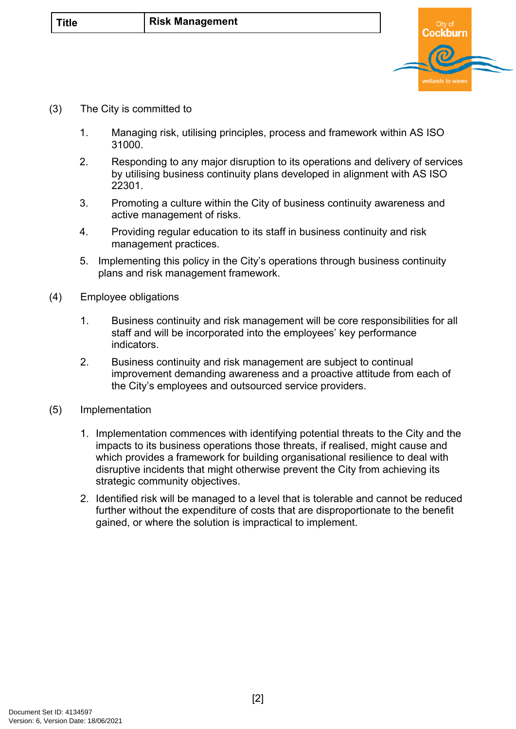

- (3) The City is committed to
	- 1. Managing risk, utilising principles, process and framework within AS ISO 31000.
	- 2. Responding to any major disruption to its operations and delivery of services by utilising business continuity plans developed in alignment with AS ISO 22301.
	- 3. Promoting a culture within the City of business continuity awareness and active management of risks.
	- 4. Providing regular education to its staff in business continuity and risk management practices.
	- 5. Implementing this policy in the City's operations through business continuity plans and risk management framework.
- (4) Employee obligations
	- 1. Business continuity and risk management will be core responsibilities for all staff and will be incorporated into the employees' key performance indicators.
	- 2. Business continuity and risk management are subject to continual improvement demanding awareness and a proactive attitude from each of the City's employees and outsourced service providers.
- (5) Implementation
	- 1. Implementation commences with identifying potential threats to the City and the impacts to its business operations those threats, if realised, might cause and which provides a framework for building organisational resilience to deal with disruptive incidents that might otherwise prevent the City from achieving its strategic community objectives.
	- 2. Identified risk will be managed to a level that is tolerable and cannot be reduced further without the expenditure of costs that are disproportionate to the benefit gained, or where the solution is impractical to implement.